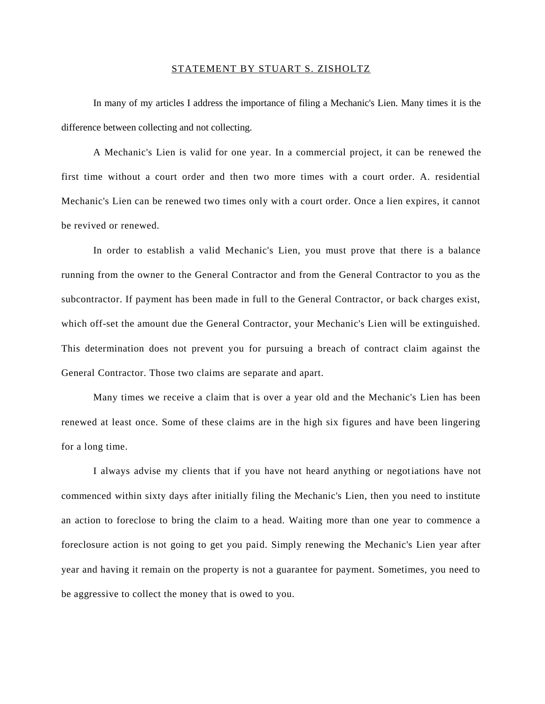## STATEMENT BY STUART S. ZISHOLTZ

In many of my articles I address the importance of filing a Mechanic's Lien. Many times it is the difference between collecting and not collecting.

A Mechanic's Lien is valid for one year. In a commercial project, it can be renewed the first time without a court order and then two more times with a court order. A. residential Mechanic's Lien can be renewed two times only with a court order. Once a lien expires, it cannot be revived or renewed.

In order to establish a valid Mechanic's Lien, you must prove that there is a balance running from the owner to the General Contractor and from the General Contractor to you as the subcontractor. If payment has been made in full to the General Contractor, or back charges exist, which off-set the amount due the General Contractor, your Mechanic's Lien will be extinguished. This determination does not prevent you for pursuing a breach of contract claim against the General Contractor. Those two claims are separate and apart.

Many times we receive a claim that is over a year old and the Mechanic's Lien has been renewed at least once. Some of these claims are in the high six figures and have been lingering for a long time.

I always advise my clients that if you have not heard anything or negotiations have not commenced within sixty days after initially filing the Mechanic's Lien, then you need to institute an action to foreclose to bring the claim to a head. Waiting more than one year to commence a foreclosure action is not going to get you paid. Simply renewing the Mechanic's Lien year after year and having it remain on the property is not a guarantee for payment. Sometimes, you need to be aggressive to collect the money that is owed to you.